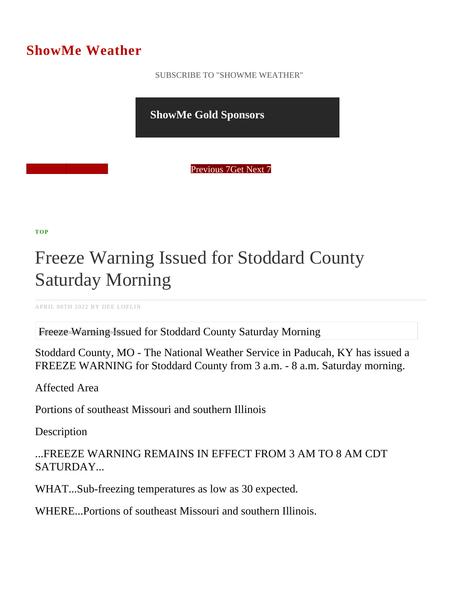## ShowMe Weather

 [SUBSCRIBE TO "SHOWME WEATHER"](/blog_rss.php)

ShowMe Gold Sponsors

Previous Get Next 7

[TOP](/var/www/showmetimes.com/root/javascript:blogScrollToTop()

## Freeze Warning Issued for Stoddard County Saturday Morning

APRIL 08TH 2022 BY DEE LOFLIN

Fireeze Warning Issued for Stoddard County Saturday Morning

Stoddard County, MO - The National Weather Service in Paducah, KY has issued a FREEZE WARNING for Stoddard County from 3 a.m. - 8 a.m. Saturday morning.

Affected Area

Portions of southeast Missouri and southern Illinois

**Description** 

...FREEZE WARNING REMAINS IN EFFECT FROM 3 AM TO 8 AM CDT SATURDAY...

WHAT...Sub-freezing temperatures as low as 30 expected.

WHERE...Portions of southeast Missouri and southern Illinois.